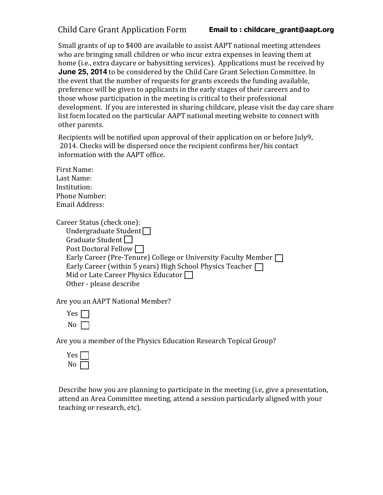Child Care Grant Application Form

 home (i.e., extra daycare or babysitting services). Applications must be received by Small grants of up to \$400 are available to assist AAPT national meeting attendees who are bringing small children or who incur extra expenses in leaving them at **June 25, 2014** to be considered by the Child Care Grant Selection Committee. In the event that the number of requests for grants exceeds the funding available, preference will be given to applicants in the early stages of their careers and to those whose participation in the meeting is critical to their professional development. If you are interested in sharing childcare, please visit the day care share list form located on the particular AAPT national meeting website to connect with other parents.

Recipients will be notified upon approval of their application on or before July9, 2014. Checks will be dispersed once the recipient confirms her/his contact information with the AAPT office.

First Name: Last Name: Institution: Phone Number: Email Address:

Career Status (check one): Undergraduate Student<sup>n</sup> Graduate Student<sup>[1]</sup> Post Doctoral Fellow  $\Box$ Early Career (Pre-Tenure) College or University Faculty Member Early Career (within 5 years) High School Physics Teacher  $\Box$ Mid or Late Career Physics Educator Other - please describe

Are you an AAPT National Member?

| Yes I |  |
|-------|--|
| N٥    |  |

Are you a member of the Physics Education Research Topical Group?



Describe how you are planning to participate in the meeting (i.e, give a presentation, attend an Area Committee meeting, attend a session particularly aligned with your teaching or research, etc).